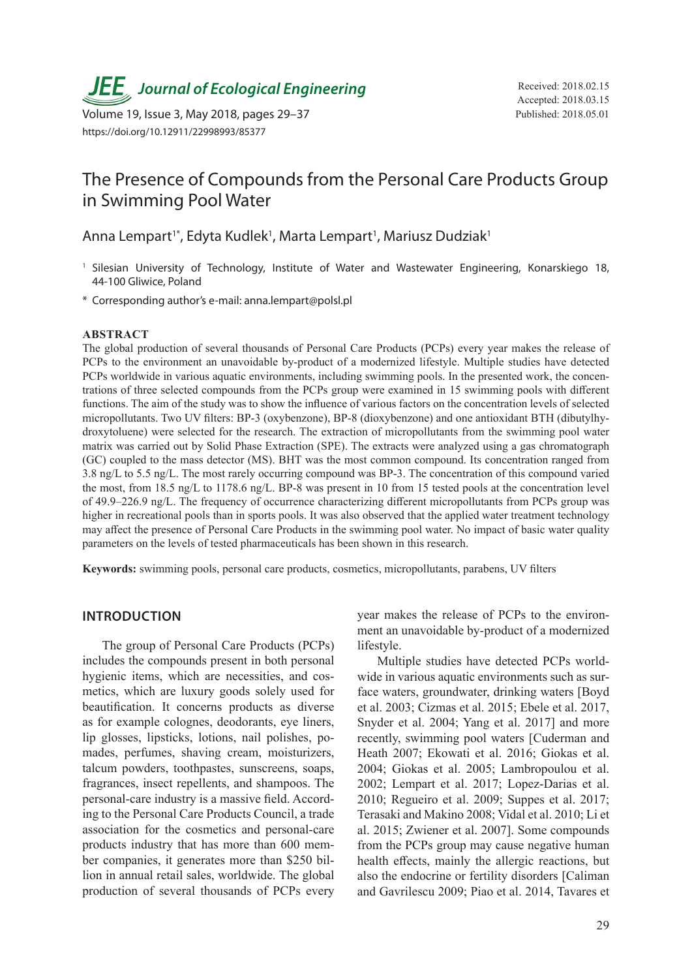**JEE**<sub>,</sub> Journal of Ecological Engineering Received: 2018.02.15

Volume 19, Issue 3, May 2018, pages 29–37 Published: 2018.05.01 https://doi.org/10.12911/22998993/85377

# The Presence of Compounds from the Personal Care Products Group in Swimming Pool Water

Anna Lempart<sup>1\*</sup>, Edyta Kudlek<sup>1</sup>, Marta Lempart<sup>1</sup>, Mariusz Dudziak<sup>1</sup>

- <sup>1</sup> Silesian University of Technology, Institute of Water and Wastewater Engineering, Konarskiego 18, 44-100 Gliwice, Poland
- \* Corresponding author's e-mail: anna.lempart@polsl.pl

#### **ABSTRACT**

The global production of several thousands of Personal Care Products (PCPs) every year makes the release of PCPs to the environment an unavoidable by-product of a modernized lifestyle. Multiple studies have detected PCPs worldwide in various aquatic environments, including swimming pools. In the presented work, the concentrations of three selected compounds from the PCPs group were examined in 15 swimming pools with different functions. The aim of the study was to show the influence of various factors on the concentration levels of selected micropollutants. Two UV filters: BP-3 (oxybenzone), BP-8 (dioxybenzone) and one antioxidant BTH (dibutylhydroxytoluene) were selected for the research. The extraction of micropollutants from the swimming pool water matrix was carried out by Solid Phase Extraction (SPE). The extracts were analyzed using a gas chromatograph (GC) coupled to the mass detector (MS). BHT was the most common compound. Its concentration ranged from 3.8 ng/L to 5.5 ng/L. The most rarely occurring compound was BP-3. The concentration of this compound varied the most, from 18.5 ng/L to 1178.6 ng/L. BP-8 was present in 10 from 15 tested pools at the concentration level of 49.9–226.9 ng/L. The frequency of occurrence characterizing different micropollutants from PCPs group was higher in recreational pools than in sports pools. It was also observed that the applied water treatment technology may affect the presence of Personal Care Products in the swimming pool water. No impact of basic water quality parameters on the levels of tested pharmaceuticals has been shown in this research.

**Keywords:** swimming pools, personal care products, cosmetics, micropollutants, parabens, UV filters

#### **INTRODUCTION**

The group of Personal Care Products (PCPs) includes the compounds present in both personal hygienic items, which are necessities, and cosmetics, which are luxury goods solely used for beautification. It concerns products as diverse as for example colognes, deodorants, eye liners, lip glosses, lipsticks, lotions, nail polishes, pomades, perfumes, shaving cream, moisturizers, talcum powders, toothpastes, sunscreens, soaps, fragrances, insect repellents, and shampoos. The personal-care industry is a massive field. According to the Personal Care Products Council, a trade association for the cosmetics and personal-care products industry that has more than 600 member companies, it generates more than \$250 billion in annual retail sales, worldwide. The global production of several thousands of PCPs every year makes the release of PCPs to the environment an unavoidable by-product of a modernized lifestyle.

Multiple studies have detected PCPs worldwide in various aquatic environments such as surface waters, groundwater, drinking waters [Boyd et al. 2003; Cizmas et al. 2015; Ebele et al. 2017, Snyder et al. 2004; Yang et al. 2017] and more recently, swimming pool waters [Cuderman and Heath 2007; Ekowati et al. 2016; Giokas et al. 2004; Giokas et al. 2005; Lambropoulou et al. 2002; Lempart et al. 2017; Lopez-Darias et al. 2010; Regueiro et al. 2009; Suppes et al. 2017; Terasaki and Makino 2008; Vidal et al. 2010; Li et al. 2015; Zwiener et al. 2007]. Some compounds from the PCPs group may cause negative human health effects, mainly the allergic reactions, but also the endocrine or fertility disorders [Caliman and Gavrilescu 2009; Piao et al. 2014, Tavares et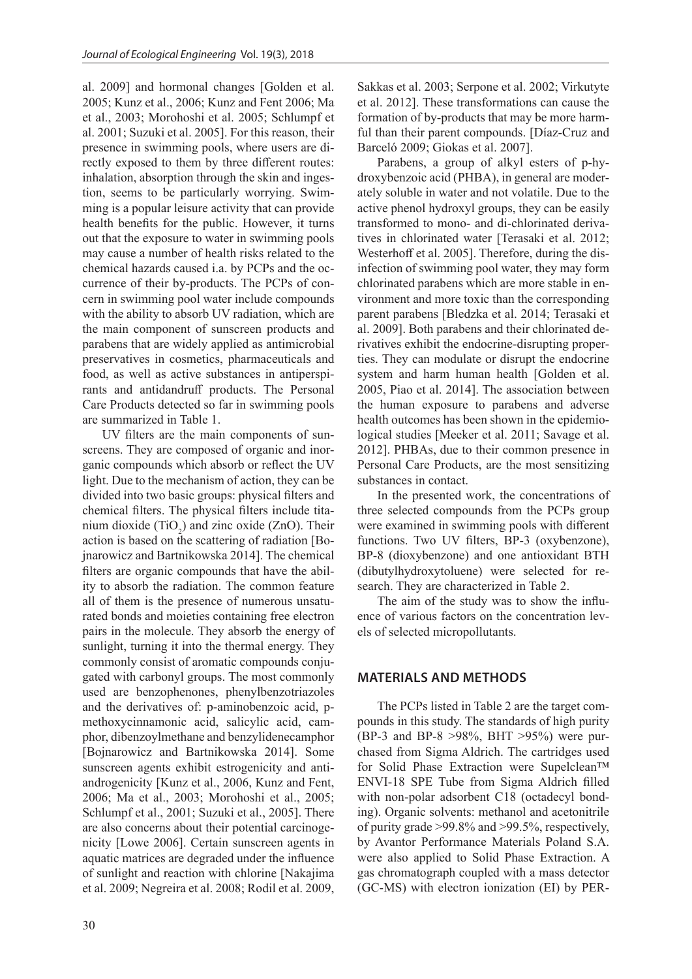al. 2009] and hormonal changes [Golden et al. 2005; Kunz et al., 2006; Kunz and Fent 2006; Ma et al., 2003; Morohoshi et al. 2005; Schlumpf et al. 2001; Suzuki et al. 2005]. For this reason, their presence in swimming pools, where users are directly exposed to them by three different routes: inhalation, absorption through the skin and ingestion, seems to be particularly worrying. Swimming is a popular leisure activity that can provide health benefits for the public. However, it turns out that the exposure to water in swimming pools may cause a number of health risks related to the chemical hazards caused i.a. by PCPs and the occurrence of their by-products. The PCPs of concern in swimming pool water include compounds with the ability to absorb UV radiation, which are the main component of sunscreen products and parabens that are widely applied as antimicrobial preservatives in cosmetics, pharmaceuticals and food, as well as active substances in antiperspirants and antidandruff products. The Personal Care Products detected so far in swimming pools are summarized in Table 1.

UV filters are the main components of sunscreens. They are composed of organic and inorganic compounds which absorb or reflect the UV light. Due to the mechanism of action, they can be divided into two basic groups: physical filters and chemical filters. The physical filters include titanium dioxide  $(TiO_2)$  and zinc oxide (ZnO). Their action is based on the scattering of radiation [Bojnarowicz and Bartnikowska 2014]. The chemical filters are organic compounds that have the ability to absorb the radiation. The common feature all of them is the presence of numerous unsaturated bonds and moieties containing free electron pairs in the molecule. They absorb the energy of sunlight, turning it into the thermal energy. They commonly consist of aromatic compounds conjugated with carbonyl groups. The most commonly used are benzophenones, phenylbenzotriazoles and the derivatives of: p-aminobenzoic acid, pmethoxycinnamonic acid, salicylic acid, camphor, dibenzoylmethane and benzylidenecamphor [Bojnarowicz and Bartnikowska 2014]. Some sunscreen agents exhibit estrogenicity and antiandrogenicity [Kunz et al., 2006, Kunz and Fent, 2006; Ma et al., 2003; Morohoshi et al., 2005; Schlumpf et al., 2001; Suzuki et al., 2005]. There are also concerns about their potential carcinogenicity [Lowe 2006]. Certain sunscreen agents in aquatic matrices are degraded under the influence of sunlight and reaction with chlorine [Nakajima et al. 2009; Negreira et al. 2008; Rodil et al. 2009,

Sakkas et al. 2003; Serpone et al. 2002; Virkutyte et al. 2012]. These transformations can cause the formation of by-products that may be more harmful than their parent compounds. [Díaz-Cruz and Barceló 2009; Giokas et al. 2007].

Parabens, a group of alkyl esters of p-hydroxybenzoic acid (PHBA), in general are moderately soluble in water and not volatile. Due to the active phenol hydroxyl groups, they can be easily transformed to mono- and di-chlorinated derivatives in chlorinated water [Terasaki et al. 2012; Westerhoff et al. 2005]. Therefore, during the disinfection of swimming pool water, they may form chlorinated parabens which are more stable in environment and more toxic than the corresponding parent parabens [Bledzka et al. 2014; Terasaki et al. 2009]. Both parabens and their chlorinated derivatives exhibit the endocrine-disrupting properties. They can modulate or disrupt the endocrine system and harm human health [Golden et al. 2005, Piao et al. 2014]. The association between the human exposure to parabens and adverse health outcomes has been shown in the epidemiological studies [Meeker et al. 2011; Savage et al. 2012]. PHBAs, due to their common presence in Personal Care Products, are the most sensitizing substances in contact.

In the presented work, the concentrations of three selected compounds from the PCPs group were examined in swimming pools with different functions. Two UV filters, BP-3 (oxybenzone), BP-8 (dioxybenzone) and one antioxidant BTH (dibutylhydroxytoluene) were selected for research. They are characterized in Table 2.

The aim of the study was to show the influence of various factors on the concentration levels of selected micropollutants.

## **MATERIALS AND METHODS**

The PCPs listed in Table 2 are the target compounds in this study. The standards of high purity (BP-3 and BP-8 >98%, BHT >95%) were purchased from Sigma Aldrich. The cartridges used for Solid Phase Extraction were Supelclean™ ENVI-18 SPE Tube from Sigma Aldrich filled with non-polar adsorbent C18 (octadecyl bonding). Organic solvents: methanol and acetonitrile of purity grade >99.8% and >99.5%, respectively, by Avantor Performance Materials Poland S.A. were also applied to Solid Phase Extraction. A gas chromatograph coupled with a mass detector (GC-MS) with electron ionization (EI) by PER-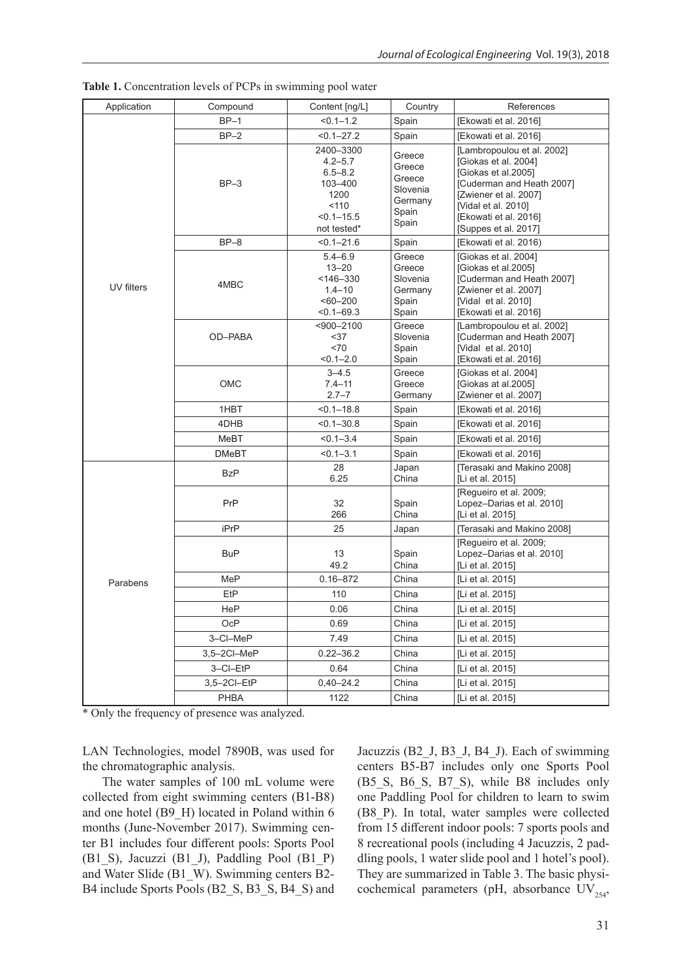| Application | Compound     | Content [ng/L]                                                                                     | Country                                                             | References                                                                                                                                                                                              |
|-------------|--------------|----------------------------------------------------------------------------------------------------|---------------------------------------------------------------------|---------------------------------------------------------------------------------------------------------------------------------------------------------------------------------------------------------|
|             | $BP-1$       | $< 0.1 - 1.2$                                                                                      | Spain                                                               | [Ekowati et al. 2016]                                                                                                                                                                                   |
|             | $BP-2$       | $< 0.1 - 27.2$                                                                                     | Spain                                                               | [Ekowati et al. 2016]                                                                                                                                                                                   |
| UV filters  | $BP-3$       | 2400-3300<br>$4.2 - 5.7$<br>$6.5 - 8.2$<br>103-400<br>1200<br>110<br>$< 0.1 - 15.5$<br>not tested* | Greece<br>Greece<br>Greece<br>Slovenia<br>Germany<br>Spain<br>Spain | [Lambropoulou et al. 2002]<br>[Giokas et al. 2004]<br>[Giokas et al.2005]<br>[Cuderman and Heath 2007]<br>[Zwiener et al. 2007]<br>[Vidal et al. 2010]<br>[Ekowati et al. 2016]<br>[Suppes et al. 2017] |
|             | $BP-8$       | $< 0.1 - 21.6$                                                                                     | Spain                                                               | [Ekowati et al. 2016)                                                                                                                                                                                   |
|             | 4MBC         | $5.4 - 6.9$<br>$13 - 20$<br>$<$ 146–330<br>$1.4 - 10$<br>$<60-200$<br>$< 0.1 - 69.3$               | Greece<br>Greece<br>Slovenia<br>Germany<br>Spain<br>Spain           | [Giokas et al. 2004]<br>[Giokas et al.2005]<br>[Cuderman and Heath 2007]<br>[Zwiener et al. 2007]<br>[Vidal et al. 2010]<br>[Ekowati et al. 2016]                                                       |
|             | OD-PABA      | $<$ 900 $-$ 2100<br>$37$<br>< 70<br>$< 0.1 - 2.0$                                                  | Greece<br>Slovenia<br>Spain<br>Spain                                | [Lambropoulou et al. 2002]<br>[Cuderman and Heath 2007]<br>[Vidal et al. 2010]<br>[Ekowati et al. 2016]                                                                                                 |
|             | <b>OMC</b>   | $3 - 4.5$<br>$7.4 - 11$<br>$2.7 - 7$                                                               | Greece<br>Greece<br>Germany                                         | [Giokas et al. 2004]<br>[Giokas at al.2005]<br>[Zwiener et al. 2007]                                                                                                                                    |
|             | 1HBT         | $< 0.1 - 18.8$                                                                                     | Spain                                                               | [Ekowati et al. 2016]                                                                                                                                                                                   |
|             | 4DHB         | $< 0.1 - 30.8$                                                                                     | Spain                                                               | [Ekowati et al. 2016]                                                                                                                                                                                   |
|             | MeBT         | $< 0.1 - 3.4$                                                                                      | Spain                                                               | [Ekowati et al. 2016]                                                                                                                                                                                   |
|             | <b>DMeBT</b> | $< 0.1 - 3.1$                                                                                      | Spain                                                               | [Ekowati et al. 2016]                                                                                                                                                                                   |
|             | <b>BzP</b>   | 28<br>6.25                                                                                         | Japan<br>China                                                      | [Terasaki and Makino 2008]<br>[Li et al. 2015]                                                                                                                                                          |
|             | PrP          | 32<br>266                                                                                          | Spain<br>China                                                      | [Regueiro et al. 2009;<br>Lopez-Darias et al. 2010]<br>[Li et al. 2015]                                                                                                                                 |
| Parabens    | iPrP         | 25                                                                                                 | Japan                                                               | [Terasaki and Makino 2008]                                                                                                                                                                              |
|             | <b>BuP</b>   | 13<br>49.2                                                                                         | Spain<br>China                                                      | [Requeiro et al. 2009;<br>Lopez-Darias et al. 2010]<br>[Li et al. 2015]                                                                                                                                 |
|             | MeP          | $0.16 - 872$                                                                                       | China                                                               | [Li et al. 2015]                                                                                                                                                                                        |
|             | EtP          | 110                                                                                                | China                                                               | [Li et al. 2015]                                                                                                                                                                                        |
|             | HeP          | 0.06                                                                                               | China                                                               | [Li et al. 2015]                                                                                                                                                                                        |
|             | OcP          | 0.69                                                                                               | China                                                               | [Li et al. 2015]                                                                                                                                                                                        |
|             | 3-CI-MeP     | 7.49                                                                                               | China                                                               | [Li et al. 2015]                                                                                                                                                                                        |
|             | 3,5-2Cl-MeP  | $0.22 - 36.2$                                                                                      | China                                                               | [Li et al. 2015]                                                                                                                                                                                        |
|             | 3-CI-EtP     | 0.64                                                                                               | China                                                               | [Li et al. 2015]                                                                                                                                                                                        |
|             | 3,5-2CI-EtP  | $0,40 - 24.2$                                                                                      | China                                                               | [Li et al. 2015]                                                                                                                                                                                        |
|             | PHBA         | 1122                                                                                               | China                                                               | [Li et al. 2015]                                                                                                                                                                                        |

**Table 1.** Concentration levels of PCPs in swimming pool water

\* Only the frequency of presence was analyzed.

LAN Technologies, model 7890B, was used for the chromatographic analysis.

The water samples of 100 mL volume were collected from eight swimming centers (B1-B8) and one hotel (B9\_H) located in Poland within 6 months (June-November 2017). Swimming center B1 includes four different pools: Sports Pool (B1\_S), Jacuzzi (B1\_J), Paddling Pool (B1\_P) and Water Slide (B1\_W). Swimming centers B2- B4 include Sports Pools (B2\_S, B3\_S, B4\_S) and Jacuzzis (B2\_J, B3\_J, B4\_J). Each of swimming centers B5-B7 includes only one Sports Pool (B5\_S, B6\_S, B7\_S), while B8 includes only one Paddling Pool for children to learn to swim (B8\_P). In total, water samples were collected from 15 different indoor pools: 7 sports pools and 8 recreational pools (including 4 Jacuzzis, 2 paddling pools, 1 water slide pool and 1 hotel's pool). They are summarized in Table 3. The basic physicochemical parameters (pH, absorbance  $UV_{254}$ ,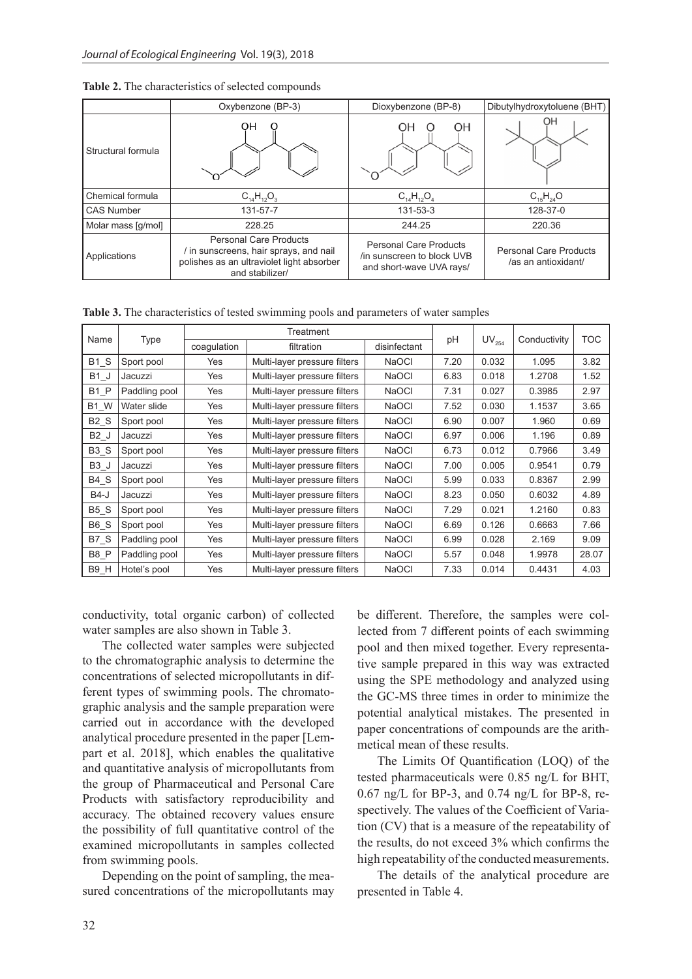|                    | Oxybenzone (BP-3)                                                                                                                     | Dioxybenzone (BP-8)                                                                     | Dibutylhydroxytoluene (BHT)                          |
|--------------------|---------------------------------------------------------------------------------------------------------------------------------------|-----------------------------------------------------------------------------------------|------------------------------------------------------|
| Structural formula | OН                                                                                                                                    | OH<br>OΗ                                                                                | ΟH                                                   |
| Chemical formula   | $C_{14}H_{12}O_3$                                                                                                                     | $C_{14}H_{12}O_4$                                                                       | $C_{15}H_{24}O$                                      |
| <b>CAS Number</b>  | 131-57-7                                                                                                                              | 131-53-3                                                                                | 128-37-0                                             |
| Molar mass [g/mol] | 228.25                                                                                                                                | 244.25                                                                                  | 220.36                                               |
| Applications       | <b>Personal Care Products</b><br>in sunscreens, hair sprays, and nail<br>polishes as an ultraviolet light absorber<br>and stabilizer/ | <b>Personal Care Products</b><br>/in sunscreen to block UVB<br>and short-wave UVA rays/ | <b>Personal Care Products</b><br>/as an antioxidant/ |

|  |  | Table 2. The characteristics of selected compounds |  |
|--|--|----------------------------------------------------|--|
|--|--|----------------------------------------------------|--|

**Table 3.** The characteristics of tested swimming pools and parameters of water samples

| Name             |               | Treatment   |                              | рH           |      |            | <b>TOC</b>   |       |
|------------------|---------------|-------------|------------------------------|--------------|------|------------|--------------|-------|
|                  | Type          | coaqulation | filtration                   | disinfectant |      | $UV_{254}$ | Conductivity |       |
| B1 S             | Sport pool    | Yes         | Multi-layer pressure filters | <b>NaOCI</b> | 7.20 | 0.032      | 1.095        | 3.82  |
| $B1$ _J          | Jacuzzi       | Yes         | Multi-layer pressure filters | <b>NaOCI</b> | 6.83 | 0.018      | 1.2708       | 1.52  |
| B1 P             | Paddling pool | Yes         | Multi-layer pressure filters | <b>NaOCI</b> | 7.31 | 0.027      | 0.3985       | 2.97  |
| <b>B1_W</b>      | Water slide   | Yes         | Multi-layer pressure filters | <b>NaOCI</b> | 7.52 | 0.030      | 1.1537       | 3.65  |
| <b>B2 S</b>      | Sport pool    | Yes         | Multi-layer pressure filters | <b>NaOCI</b> | 6.90 | 0.007      | 1.960        | 0.69  |
| B <sub>2</sub> J | Jacuzzi       | Yes         | Multi-layer pressure filters | <b>NaOCI</b> | 6.97 | 0.006      | 1.196        | 0.89  |
| B3 S             | Sport pool    | Yes         | Multi-layer pressure filters | <b>NaOCI</b> | 6.73 | 0.012      | 0.7966       | 3.49  |
| $B3$ _J          | Jacuzzi       | Yes         | Multi-layer pressure filters | <b>NaOCI</b> | 7.00 | 0.005      | 0.9541       | 0.79  |
| B4 S             | Sport pool    | Yes         | Multi-layer pressure filters | <b>NaOCI</b> | 5.99 | 0.033      | 0.8367       | 2.99  |
| <b>B4-J</b>      | Jacuzzi       | Yes         | Multi-layer pressure filters | <b>NaOCI</b> | 8.23 | 0.050      | 0.6032       | 4.89  |
| B5 S             | Sport pool    | Yes         | Multi-layer pressure filters | <b>NaOCI</b> | 7.29 | 0.021      | 1.2160       | 0.83  |
| $B6_S$           | Sport pool    | Yes         | Multi-layer pressure filters | <b>NaOCI</b> | 6.69 | 0.126      | 0.6663       | 7.66  |
| B7 S             | Paddling pool | Yes         | Multi-layer pressure filters | <b>NaOCI</b> | 6.99 | 0.028      | 2.169        | 9.09  |
| B <sub>8</sub> P | Paddling pool | Yes         | Multi-layer pressure filters | <b>NaOCI</b> | 5.57 | 0.048      | 1.9978       | 28.07 |
| B9 H             | Hotel's pool  | Yes         | Multi-layer pressure filters | <b>NaOCI</b> | 7.33 | 0.014      | 0.4431       | 4.03  |

conductivity, total organic carbon) of collected water samples are also shown in Table 3.

The collected water samples were subjected to the chromatographic analysis to determine the concentrations of selected micropollutants in different types of swimming pools. The chromatographic analysis and the sample preparation were carried out in accordance with the developed analytical procedure presented in the paper [Lempart et al. 2018], which enables the qualitative and quantitative analysis of micropollutants from the group of Pharmaceutical and Personal Care Products with satisfactory reproducibility and accuracy. The obtained recovery values ensure the possibility of full quantitative control of the examined micropollutants in samples collected from swimming pools.

Depending on the point of sampling, the measured concentrations of the micropollutants may be different. Therefore, the samples were collected from 7 different points of each swimming pool and then mixed together. Every representative sample prepared in this way was extracted using the SPE methodology and analyzed using the GC-MS three times in order to minimize the potential analytical mistakes. The presented in paper concentrations of compounds are the arithmetical mean of these results.

The Limits Of Quantification (LOQ) of the tested pharmaceuticals were 0.85 ng/L for BHT, 0.67 ng/L for BP-3, and 0.74 ng/L for BP-8, respectively. The values of the Coefficient of Variation (CV) that is a measure of the repeatability of the results, do not exceed 3% which confirms the high repeatability of the conducted measurements.

The details of the analytical procedure are presented in Table 4.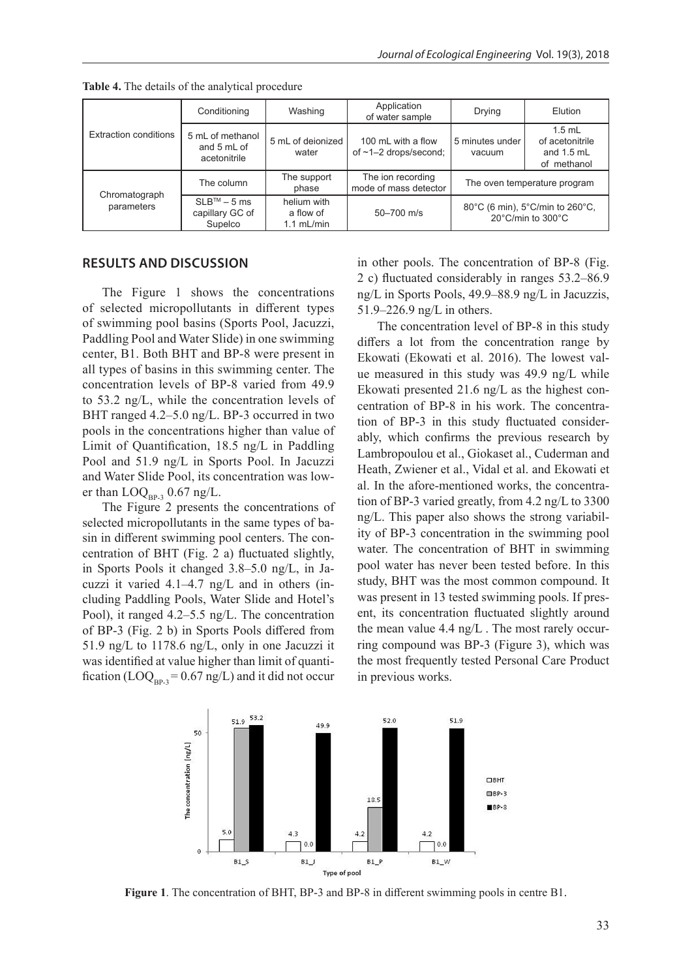| Extraction conditions       | Conditioning                                              | Washing                                  | Application<br>of water sample                    | <b>Drying</b>                                                            | Elution                                                    |
|-----------------------------|-----------------------------------------------------------|------------------------------------------|---------------------------------------------------|--------------------------------------------------------------------------|------------------------------------------------------------|
|                             | 5 mL of methanol<br>and 5 mL of<br>acetonitrile           | 5 mL of deionized<br>water               | 100 mL with a flow<br>of $\sim$ 1-2 drops/second; | 5 minutes under<br>vacuum                                                | $1.5$ mL<br>of acetonitrile<br>and $1.5$ mL<br>of methanol |
| Chromatograph<br>parameters | The column                                                | The support<br>phase                     | The ion recording<br>mode of mass detector        | The oven temperature program                                             |                                                            |
|                             | $SI$ B <sup>TM</sup> – 5 ms<br>capillary GC of<br>Supelco | helium with<br>a flow of<br>$1.1$ mL/min | 50-700 m/s                                        | 80°C (6 min), 5°C/min to 260°C,<br>$20^{\circ}$ C/min to $300^{\circ}$ C |                                                            |

**Table 4.** The details of the analytical procedure

#### **RESULTS AND DISCUSSION**

The Figure 1 shows the concentrations of selected micropollutants in different types of swimming pool basins (Sports Pool, Jacuzzi, Paddling Pool and Water Slide) in one swimming center, B1. Both BHT and BP-8 were present in all types of basins in this swimming center. The concentration levels of BP-8 varied from 49.9 to 53.2 ng/L, while the concentration levels of BHT ranged 4.2–5.0 ng/L. BP-3 occurred in two pools in the concentrations higher than value of Limit of Quantification, 18.5 ng/L in Paddling Pool and 51.9 ng/L in Sports Pool. In Jacuzzi and Water Slide Pool, its concentration was lower than  $\text{LOQ}_{\text{RP-3}}$  0.67 ng/L.

The Figure 2 presents the concentrations of selected micropollutants in the same types of basin in different swimming pool centers. The concentration of BHT (Fig. 2 a) fluctuated slightly, in Sports Pools it changed 3.8–5.0 ng/L, in Jacuzzi it varied 4.1–4.7 ng/L and in others (including Paddling Pools, Water Slide and Hotel's Pool), it ranged 4.2–5.5 ng/L. The concentration of BP-3 (Fig. 2 b) in Sports Pools differed from 51.9 ng/L to 1178.6 ng/L, only in one Jacuzzi it was identified at value higher than limit of quantification (LOQ<sub>BP-3</sub> = 0.67 ng/L) and it did not occur

in other pools. The concentration of BP-8 (Fig. 2 c) fluctuated considerably in ranges 53.2–86.9 ng/L in Sports Pools, 49.9–88.9 ng/L in Jacuzzis, 51.9–226.9 ng/L in others.

The concentration level of BP-8 in this study differs a lot from the concentration range by Ekowati (Ekowati et al. 2016). The lowest value measured in this study was 49.9 ng/L while Ekowati presented 21.6 ng/L as the highest concentration of BP-8 in his work. The concentration of BP-3 in this study fluctuated considerably, which confirms the previous research by Lambropoulou et al., Giokaset al., Cuderman and Heath, Zwiener et al., Vidal et al. and Ekowati et al. In the afore-mentioned works, the concentration of BP-3 varied greatly, from 4.2 ng/L to 3300 ng/L. This paper also shows the strong variability of BP-3 concentration in the swimming pool water. The concentration of BHT in swimming pool water has never been tested before. In this study, BHT was the most common compound. It was present in 13 tested swimming pools. If present, its concentration fluctuated slightly around the mean value 4.4 ng/L . The most rarely occurring compound was BP-3 (Figure 3), which was the most frequently tested Personal Care Product in previous works.



**Figure 1**. The concentration of BHT, BP-3 and BP-8 in different swimming pools in centre B1.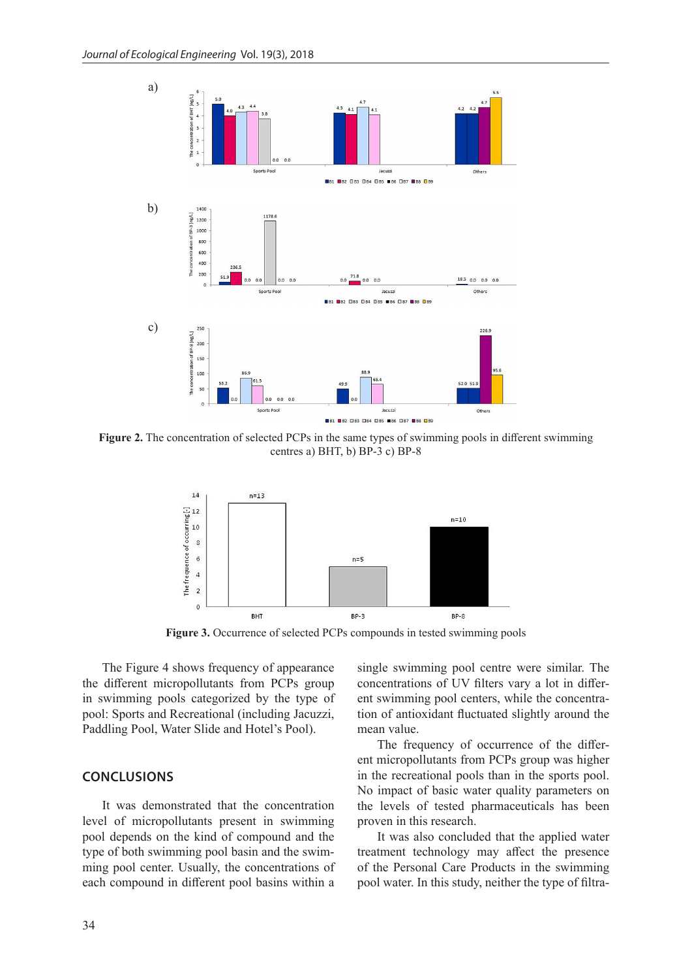

**Figure 2.** The concentration of selected PCPs in the same types of swimming pools in different swimming centres a) BHT, b) BP-3 c) BP-8



**Figure 3.** Occurrence of selected PCPs compounds in tested swimming pools

The Figure 4 shows frequency of appearance the different micropollutants from PCPs group in swimming pools categorized by the type of pool: Sports and Recreational (including Jacuzzi, Paddling Pool, Water Slide and Hotel's Pool).

## **CONCLUSIONS**

It was demonstrated that the concentration level of micropollutants present in swimming pool depends on the kind of compound and the type of both swimming pool basin and the swimming pool center. Usually, the concentrations of each compound in different pool basins within a

single swimming pool centre were similar. The concentrations of UV filters vary a lot in different swimming pool centers, while the concentration of antioxidant fluctuated slightly around the mean value.

The frequency of occurrence of the different micropollutants from PCPs group was higher in the recreational pools than in the sports pool. No impact of basic water quality parameters on the levels of tested pharmaceuticals has been proven in this research.

It was also concluded that the applied water treatment technology may affect the presence of the Personal Care Products in the swimming pool water. In this study, neither the type of filtra-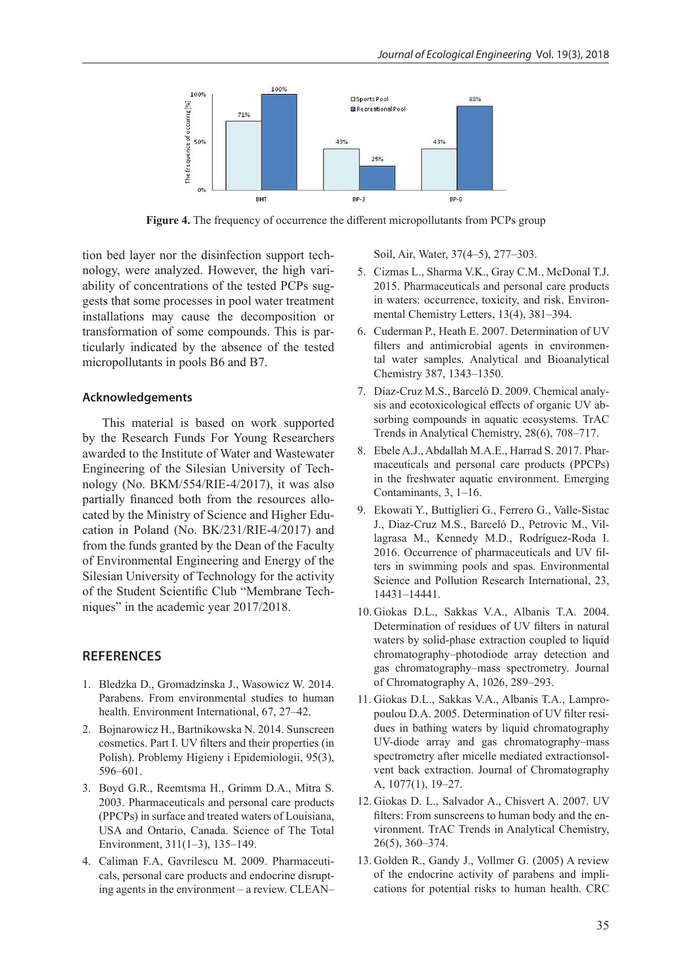

**Figure 4.** The frequency of occurrence the different micropollutants from PCPs group

tion bed layer nor the disinfection support technology, were analyzed. However, the high variability of concentrations of the tested PCPs suggests that some processes in pool water treatment installations may cause the decomposition or transformation of some compounds. This is particularly indicated by the absence of the tested micropollutants in pools B6 and B7.

### **Acknowledgements**

This material is based on work supported by the Research Funds For Young Researchers awarded to the Institute of Water and Wastewater Engineering of the Silesian University of Technology (No. BKM/554/RIE-4/2017), it was also partially financed both from the resources allocated by the Ministry of Science and Higher Education in Poland (No. BK/231/RIE-4/2017) and from the funds granted by the Dean of the Faculty of Environmental Engineering and Energy of the Silesian University of Technology for the activity of the Student Scientific Club "Membrane Techniques" in the academic year 2017/2018.

## **REFERENCES**

- 1. Bledzka D., Gromadzinska J., Wasowicz W. 2014. Parabens. From environmental studies to human health. Environment International, 67, 27–42.
- 2. Bojnarowicz H., Bartnikowska N. 2014. Sunscreen cosmetics. Part I. UV filters and their properties (in Polish). Problemy Higieny i Epidemiologii, 95(3), 596–601.
- 3. Boyd G.R., Reemtsma H., Grimm D.A., Mitra S. 2003. Pharmaceuticals and personal care products (PPCPs) in surface and treated waters of Louisiana, USA and Ontario, Canada. Science of The Total Environment, 311(1–3), 135–149.
- 4. Caliman F.A, Gavrilescu M. 2009. Pharmaceuticals, personal care products and endocrine disrupting agents in the environment – a review. CLEAN–

Soil, Air, Water, 37(4–5), 277–303.

- 5. Cizmas L., Sharma V.K., Gray C.M., McDonal T.J. 2015. Pharmaceuticals and personal care products in waters: occurrence, toxicity, and risk. Environmental Chemistry Letters, 13(4), 381–394.
- 6. Cuderman P., Heath E. 2007. Determination of UV filters and antimicrobial agents in environmental water samples. Analytical and Bioanalytical Chemistry 387, 1343–1350.
- 7. Díaz-Cruz M.S., Barceló D. 2009. Chemical analysis and ecotoxicological effects of organic UV absorbing compounds in aquatic ecosystems. TrAC Trends in Analytical Chemistry, 28(6), 708–717.
- 8. Ebele A.J., Abdallah M.A.E., Harrad S. 2017. Pharmaceuticals and personal care products (PPCPs) in the freshwater aquatic environment. Emerging Contaminants, 3, 1–16.
- 9. Ekowati Y., Buttiglieri G., Ferrero G., Valle-Sistac J., Diaz-Cruz M.S., Barceló D., Petrovic M., Villagrasa M., Kennedy M.D., Rodríguez-Roda I. 2016. Occurrence of pharmaceuticals and UV filters in swimming pools and spas. Environmental Science and Pollution Research International, 23, 14431–14441.
- 10. Giokas D.L., Sakkas V.A., Albanis T.A. 2004. Determination of residues of UV filters in natural waters by solid-phase extraction coupled to liquid chromatography–photodiode array detection and gas chromatography–mass spectrometry. Journal of Chromatography A, 1026, 289–293.
- 11. Giokas D.L., Sakkas V.A., Albanis T.A., Lampropoulou D.A. 2005. Determination of UV filter residues in bathing waters by liquid chromatography UV-diode array and gas chromatography–mass spectrometry after micelle mediated extractionsolvent back extraction. Journal of Chromatography A, 1077(1), 19–27.
- 12. Giokas D. L., Salvador A., Chisvert A. 2007. UV filters: From sunscreens to human body and the environment. TrAC Trends in Analytical Chemistry, 26(5), 360–374.
- 13. Golden R., Gandy J., Vollmer G. (2005) A review of the endocrine activity of parabens and implications for potential risks to human health. CRC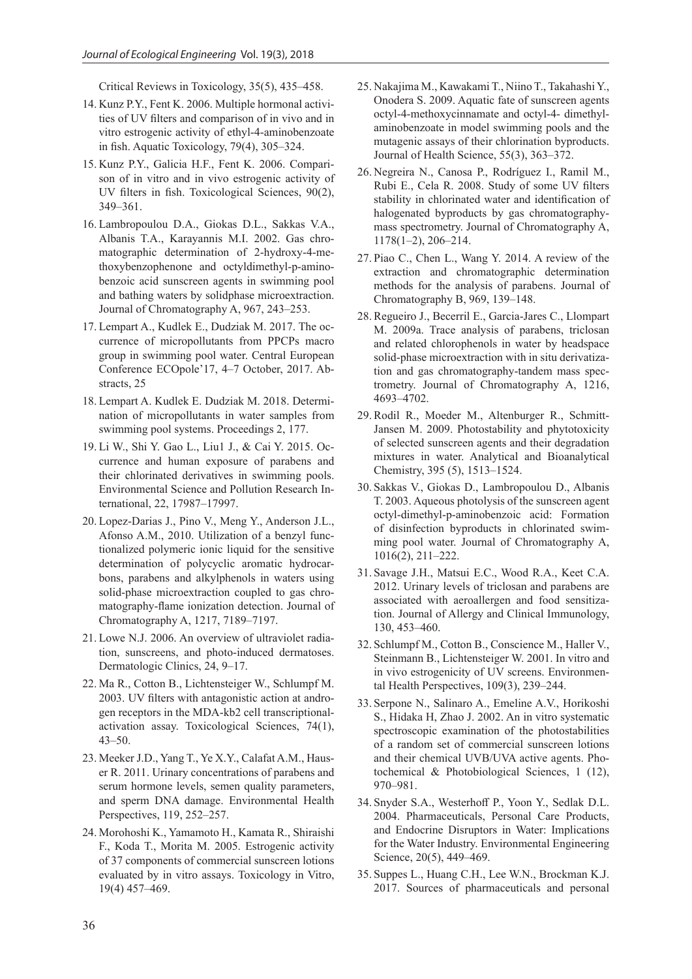Critical Reviews in Toxicology, 35(5), 435–458.

- 14. Kunz P.Y., Fent K. 2006. Multiple hormonal activities of UV filters and comparison of in vivo and in vitro estrogenic activity of ethyl-4-aminobenzoate in fish. Aquatic Toxicology, 79(4), 305–324.
- 15. Kunz P.Y., Galicia H.F., Fent K. 2006. Comparison of in vitro and in vivo estrogenic activity of UV filters in fish. Toxicological Sciences, 90(2), 349–361.
- 16. Lambropoulou D.A., Giokas D.L., Sakkas V.A., Albanis T.A., Karayannis M.I. 2002. Gas chromatographic determination of 2-hydroxy-4-methoxybenzophenone and octyldimethyl-p-aminobenzoic acid sunscreen agents in swimming pool and bathing waters by solidphase microextraction. Journal of Chromatography A, 967, 243–253.
- 17. Lempart A., Kudlek E., Dudziak M. 2017. The occurrence of micropollutants from PPCPs macro group in swimming pool water. Central European Conference ECOpole'17, 4–7 October, 2017. Abstracts, 25
- 18. Lempart A. Kudlek E. Dudziak M. 2018. Determination of micropollutants in water samples from swimming pool systems. Proceedings 2, 177.
- 19. Li W., Shi Y. Gao L., Liu1 J., & Cai Y. 2015. Occurrence and human exposure of parabens and their chlorinated derivatives in swimming pools. Environmental Science and Pollution Research International, 22, 17987–17997.
- 20. Lopez-Darias J., Pino V., Meng Y., Anderson J.L., Afonso A.M., 2010. Utilization of a benzyl functionalized polymeric ionic liquid for the sensitive determination of polycyclic aromatic hydrocarbons, parabens and alkylphenols in waters using solid-phase microextraction coupled to gas chromatography-flame ionization detection. Journal of Chromatography A, 1217, 7189–7197.
- 21. Lowe N.J. 2006. An overview of ultraviolet radiation, sunscreens, and photo-induced dermatoses. Dermatologic Clinics, 24, 9–17.
- 22. Ma R., Cotton B., Lichtensteiger W., Schlumpf M. 2003. UV filters with antagonistic action at androgen receptors in the MDA-kb2 cell transcriptionalactivation assay. Toxicological Sciences, 74(1), 43–50.
- 23. Meeker J.D., Yang T., Ye X.Y., Calafat A.M., Hauser R. 2011. Urinary concentrations of parabens and serum hormone levels, semen quality parameters, and sperm DNA damage. Environmental Health Perspectives, 119, 252–257.
- 24. Morohoshi K., Yamamoto H., Kamata R., Shiraishi F., Koda T., Morita M. 2005. Estrogenic activity of 37 components of commercial sunscreen lotions evaluated by in vitro assays. Toxicology in Vitro, 19(4) 457–469.
- 25. Nakajima M., Kawakami T., Niino T., Takahashi Y., Onodera S. 2009. Aquatic fate of sunscreen agents octyl-4-methoxycinnamate and octyl-4- dimethylaminobenzoate in model swimming pools and the mutagenic assays of their chlorination byproducts. Journal of Health Science, 55(3), 363–372.
- 26. Negreira N., Canosa P., Rodríguez I., Ramil M., Rubi E., Cela R. 2008. Study of some UV filters stability in chlorinated water and identification of halogenated byproducts by gas chromatographymass spectrometry. Journal of Chromatography A, 1178(1–2), 206–214.
- 27. Piao C., Chen L., Wang Y. 2014. A review of the extraction and chromatographic determination methods for the analysis of parabens. Journal of Chromatography B, 969, 139–148.
- 28. Regueiro J., Becerril E., Garcia-Jares C., Llompart M. 2009a. Trace analysis of parabens, triclosan and related chlorophenols in water by headspace solid-phase microextraction with in situ derivatization and gas chromatography-tandem mass spectrometry. Journal of Chromatography A, 1216, 4693–4702.
- 29. Rodil R., Moeder M., Altenburger R., Schmitt-Jansen M. 2009. Photostability and phytotoxicity of selected sunscreen agents and their degradation mixtures in water. Analytical and Bioanalytical Chemistry, 395 (5), 1513–1524.
- 30. Sakkas V., Giokas D., Lambropoulou D., Albanis T. 2003. Aqueous photolysis of the sunscreen agent octyl-dimethyl-p-aminobenzoic acid: Formation of disinfection byproducts in chlorinated swimming pool water. Journal of Chromatography A, 1016(2), 211–222.
- 31. Savage J.H., Matsui E.C., Wood R.A., Keet C.A. 2012. Urinary levels of triclosan and parabens are associated with aeroallergen and food sensitization. Journal of Allergy and Clinical Immunology, 130, 453–460.
- 32. Schlumpf M., Cotton B., Conscience M., Haller V., Steinmann B., Lichtensteiger W. 2001. In vitro and in vivo estrogenicity of UV screens. Environmental Health Perspectives, 109(3), 239–244.
- 33. Serpone N., Salinaro A., Emeline A.V., Horikoshi S., Hidaka H, Zhao J. 2002. An in vitro systematic spectroscopic examination of the photostabilities of a random set of commercial sunscreen lotions and their chemical UVB/UVA active agents. Photochemical & Photobiological Sciences, 1 (12), 970–981.
- 34. Snyder S.A., Westerhoff P., Yoon Y., Sedlak D.L. 2004. Pharmaceuticals, Personal Care Products, and Endocrine Disruptors in Water: Implications for the Water Industry. Environmental Engineering Science, 20(5), 449–469.
- 35. Suppes L., Huang C.H., Lee W.N., Brockman K.J. 2017. Sources of pharmaceuticals and personal